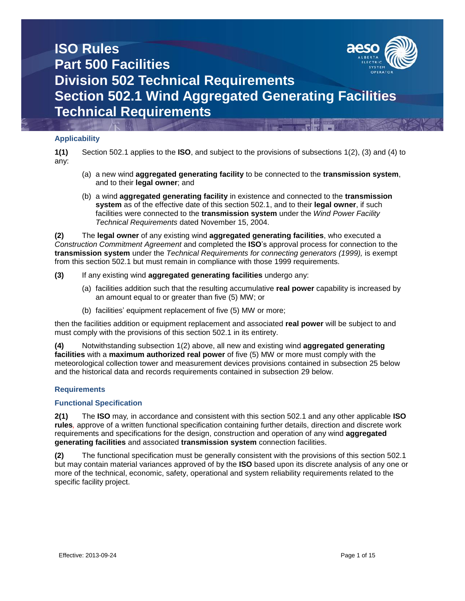

### **Applicability**

**1(1)** Section 502.1 applies to the **ISO**, and subject to the provisions of subsections 1(2), (3) and (4) to any:

- (a) a new wind **aggregated generating facility** to be connected to the **transmission system**, and to their **legal owner**; and
- (b) a wind **aggregated generating facility** in existence and connected to the **transmission system** as of the effective date of this section 502.1, and to their **legal owner**, if such facilities were connected to the **transmission system** under the *Wind Power Facility Technical Requirements* dated November 15, 2004.

**(2)** The **legal owner** of any existing wind **aggregated generating facilities**, who executed a *Construction Commitment Agreement* and completed the **ISO**'s approval process for connection to the **transmission system** under the *Technical Requirements for connecting generators (1999),* is exempt from this section 502.1 but must remain in compliance with those 1999 requirements*.*

- **(3)** If any existing wind **aggregated generating facilities** undergo any:
	- (a) facilities addition such that the resulting accumulative **real power** capability is increased by an amount equal to or greater than five (5) MW; or
	- (b) facilities' equipment replacement of five (5) MW or more;

then the facilities addition or equipment replacement and associated **real power** will be subject to and must comply with the provisions of this section 502.1 in its entirety.

**(4)** Notwithstanding subsection 1(2) above, all new and existing wind **aggregated generating facilities** with a **maximum authorized real power** of five (5) MW or more must comply with the meteorological collection tower and measurement devices provisions contained in subsection 25 below and the historical data and records requirements contained in subsection 29 below.

### **Requirements**

### **Functional Specification**

**2(1)** The **ISO** may*,* in accordance and consistent with this section 502.1 and any other applicable **ISO rules***,* approve of a written functional specification containing further details, direction and discrete work requirements and specifications for the design, construction and operation of any wind **aggregated generating facilities** and associated **transmission system** connection facilities.

**(2)** The functional specification must be generally consistent with the provisions of this section 502.1 but may contain material variances approved of by the **ISO** based upon its discrete analysis of any one or more of the technical, economic, safety, operational and system reliability requirements related to the specific facility project.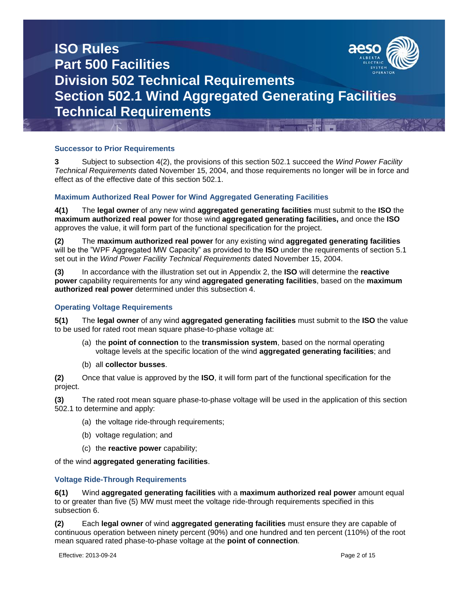

### **Successor to Prior Requirements**

**3** Subject to subsection 4(2), the provisions of this section 502.1 succeed the *Wind Power Facility Technical Requirements* dated November 15, 2004, and those requirements no longer will be in force and effect as of the effective date of this section 502.1.

### **Maximum Authorized Real Power for Wind Aggregated Generating Facilities**

**4(1)** The **legal owner** of any new wind **aggregated generating facilities** must submit to the **ISO** the **maximum authorized real power** for those wind **aggregated generating facilities,** and once the **ISO** approves the value, it will form part of the functional specification for the project.

**(2)** The **maximum authorized real power** for any existing wind **aggregated generating facilities** will be the "WPF Aggregated MW Capacity" as provided to the **ISO** under the requirements of section 5.1 set out in the *Wind Power Facility Technical Requirements* dated November 15, 2004.

**(3)** In accordance with the illustration set out in Appendix 2, the **ISO** will determine the **reactive power** capability requirements for any wind **aggregated generating facilities**, based on the **maximum authorized real power** determined under this subsection 4.

### **Operating Voltage Requirements**

**5(1)** The **legal owner** of any wind **aggregated generating facilities** must submit to the **ISO** the value to be used for rated root mean square phase-to-phase voltage at:

- (a) the **point of connection** to the **transmission system**, based on the normal operating voltage levels at the specific location of the wind **aggregated generating facilities**; and
- (b) all **collector busses**.

**(2)** Once that value is approved by the **ISO**, it will form part of the functional specification for the project.

**(3)** The rated root mean square phase-to-phase voltage will be used in the application of this section 502.1 to determine and apply:

- (a) the voltage ride-through requirements;
- (b) voltage regulation; and
- (c) the **reactive power** capability;

of the wind **aggregated generating facilities**.

### **Voltage Ride-Through Requirements**

**6(1)** Wind **aggregated generating facilities** with a **maximum authorized real power** amount equal to or greater than five (5) MW must meet the voltage ride-through requirements specified in this subsection 6.

**(2)** Each **legal owner** of wind **aggregated generating facilities** must ensure they are capable of continuous operation between ninety percent (90%) and one hundred and ten percent (110%) of the root mean squared rated phase-to-phase voltage at the **point of connection***.*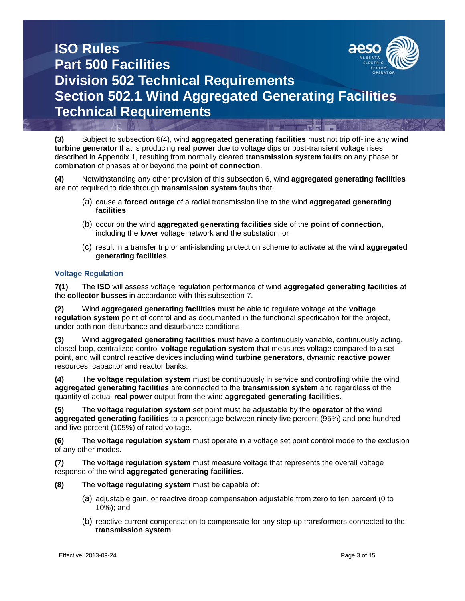

**(3)** Subject to subsection 6(4), wind **aggregated generating facilities** must not trip off-line any **wind turbine generator** that is producing **real power** due to voltage dips or post-transient voltage rises described in Appendix 1, resulting from normally cleared **transmission system** faults on any phase or combination of phases at or beyond the **point of connection**.

**(4)** Notwithstanding any other provision of this subsection 6, wind **aggregated generating facilities** are not required to ride through **transmission system** faults that:

- (a) cause a **forced outage** of a radial transmission line to the wind **aggregated generating facilities**;
- (b) occur on the wind **aggregated generating facilities** side of the **point of connection**, including the lower voltage network and the substation; or
- (c) result in a transfer trip or anti-islanding protection scheme to activate at the wind **aggregated generating facilities**.

### **Voltage Regulation**

**7(1)** The **ISO** will assess voltage regulation performance of wind **aggregated generating facilities** at the **collector busses** in accordance with this subsection 7.

**(2)** Wind **aggregated generating facilities** must be able to regulate voltage at the **voltage regulation system** point of control and as documented in the functional specification for the project, under both non-disturbance and disturbance conditions.

**(3)** Wind **aggregated generating facilities** must have a continuously variable, continuously acting, closed loop, centralized control **voltage regulation system** that measures voltage compared to a set point, and will control reactive devices including **wind turbine generators**, dynamic **reactive power**  resources, capacitor and reactor banks.

**(4)** The **voltage regulation system** must be continuously in service and controlling while the wind **aggregated generating facilities** are connected to the **transmission system** and regardless of the quantity of actual **real power** output from the wind **aggregated generating facilities**.

**(5)** The **voltage regulation system** set point must be adjustable by the **operator** of the wind **aggregated generating facilities** to a percentage between ninety five percent (95%) and one hundred and five percent (105%) of rated voltage.

**(6)** The **voltage regulation system** must operate in a voltage set point control mode to the exclusion of any other modes.

**(7)** The **voltage regulation system** must measure voltage that represents the overall voltage response of the wind **aggregated generating facilities**.

- **(8)** The **voltage regulating system** must be capable of:
	- (a) adjustable gain, or reactive droop compensation adjustable from zero to ten percent (0 to 10%); and
	- (b) reactive current compensation to compensate for any step-up transformers connected to the **transmission system**.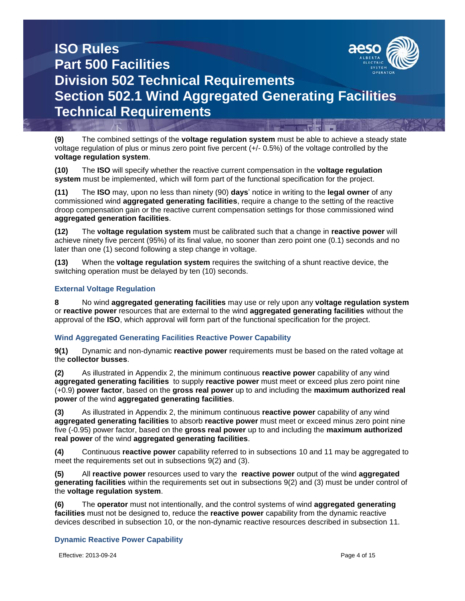

**(9)** The combined settings of the **voltage regulation system** must be able to achieve a steady state voltage regulation of plus or minus zero point five percent (+/- 0.5%) of the voltage controlled by the **voltage regulation system**.

**(10)** The **ISO** will specify whether the reactive current compensation in the **voltage regulation system** must be implemented, which will form part of the functional specification for the project.

**(11)** The **ISO** may, upon no less than ninety (90) **days**' notice in writing to the **legal owner** of any commissioned wind **aggregated generating facilities**, require a change to the setting of the reactive droop compensation gain or the reactive current compensation settings for those commissioned wind **aggregated generation facilities**.

**(12)** The **voltage regulation system** must be calibrated such that a change in **reactive power** will achieve ninety five percent (95%) of its final value, no sooner than zero point one (0.1) seconds and no later than one (1) second following a step change in voltage.

**(13)** When the **voltage regulation system** requires the switching of a shunt reactive device, the switching operation must be delayed by ten (10) seconds.

### **External Voltage Regulation**

**8** No wind **aggregated generating facilities** may use or rely upon any **voltage regulation system** or **reactive power** resources that are external to the wind **aggregated generating facilities** without the approval of the **ISO**, which approval will form part of the functional specification for the project.

### **Wind Aggregated Generating Facilities Reactive Power Capability**

**9(1)** Dynamic and non-dynamic **reactive power** requirements must be based on the rated voltage at the **collector busses**.

**(2)** As illustrated in Appendix 2, the minimum continuous **reactive power** capability of any wind **aggregated generating facilities** to supply **reactive power** must meet or exceed plus zero point nine (+0.9) **power factor**, based on the **gross real power** up to and including the **maximum authorized real power** of the wind **aggregated generating facilities**.

**(3)** As illustrated in Appendix 2, the minimum continuous **reactive power** capability of any wind **aggregated generating facilities** to absorb **reactive power** must meet or exceed minus zero point nine five (-0.95) power factor, based on the **gross real power** up to and including the **maximum authorized real power** of the wind **aggregated generating facilities**.

**(4)** Continuous **reactive power** capability referred to in subsections 10 and 11 may be aggregated to meet the requirements set out in subsections 9(2) and (3).

**(5)** All **reactive power** resources used to vary the **reactive power** output of the wind **aggregated generating facilities** within the requirements set out in subsections 9(2) and (3) must be under control of the **voltage regulation system**.

**(6)** The **operator** must not intentionally, and the control systems of wind **aggregated generating facilities** must not be designed to, reduce the **reactive power** capability from the dynamic reactive devices described in subsection 10, or the non-dynamic reactive resources described in subsection 11.

### **Dynamic Reactive Power Capability**

Effective: 2013-09-24 Page 4 of 15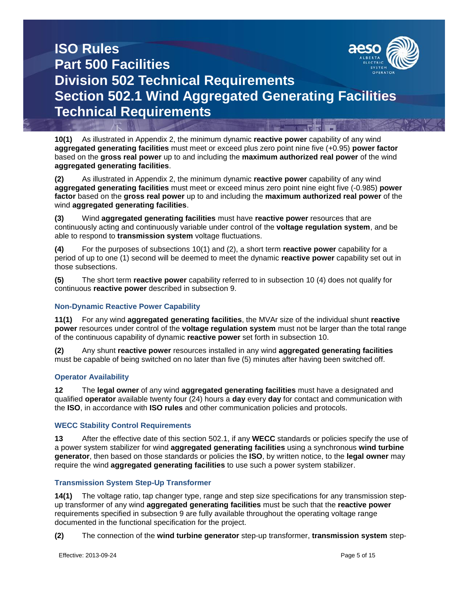

**10(1)** As illustrated in Appendix 2, the minimum dynamic **reactive power** capability of any wind **aggregated generating facilities** must meet or exceed plus zero point nine five (+0.95) **power factor** based on the **gross real power** up to and including the **maximum authorized real power** of the wind **aggregated generating facilities**.

**(2)** As illustrated in Appendix 2, the minimum dynamic **reactive power** capability of any wind **aggregated generating facilities** must meet or exceed minus zero point nine eight five (-0.985) **power factor** based on the **gross real power** up to and including the **maximum authorized real power** of the wind **aggregated generating facilities**.

**(3)** Wind **aggregated generating facilities** must have **reactive power** resources that are continuously acting and continuously variable under control of the **voltage regulation system**, and be able to respond to **transmission system** voltage fluctuations.

**(4)** For the purposes of subsections 10(1) and (2), a short term **reactive power** capability for a period of up to one (1) second will be deemed to meet the dynamic **reactive power** capability set out in those subsections.

**(5)** The short term **reactive power** capability referred to in subsection 10 (4) does not qualify for continuous **reactive power** described in subsection 9.

### **Non-Dynamic Reactive Power Capability**

**11(1)** For any wind **aggregated generating facilities**, the MVAr size of the individual shunt **reactive power** resources under control of the **voltage regulation system** must not be larger than the total range of the continuous capability of dynamic **reactive power** set forth in subsection 10.

**(2)** Any shunt **reactive power** resources installed in any wind **aggregated generating facilities** must be capable of being switched on no later than five (5) minutes after having been switched off.

### **Operator Availability**

**12** The **legal owner** of any wind **aggregated generating facilities** must have a designated and qualified **operator** available twenty four (24) hours a **day** every **day** for contact and communication with the **ISO**, in accordance with **ISO rules** and other communication policies and protocols.

### **WECC Stability Control Requirements**

**13** After the effective date of this section 502.1, if any **WECC** standards or policies specify the use of a power system stabilizer for wind **aggregated generating facilities** using a synchronous **wind turbine generator**, then based on those standards or policies the **ISO**, by written notice, to the **legal owner** may require the wind **aggregated generating facilities** to use such a power system stabilizer.

### **Transmission System Step-Up Transformer**

**14(1)** The voltage ratio, tap changer type, range and step size specifications for any transmission stepup transformer of any wind **aggregated generating facilities** must be such that the **reactive power** requirements specified in subsection 9 are fully available throughout the operating voltage range documented in the functional specification for the project.

**(2)** The connection of the **wind turbine generator** step-up transformer, **transmission system** step-

Effective: 2013-09-24 Page 5 of 15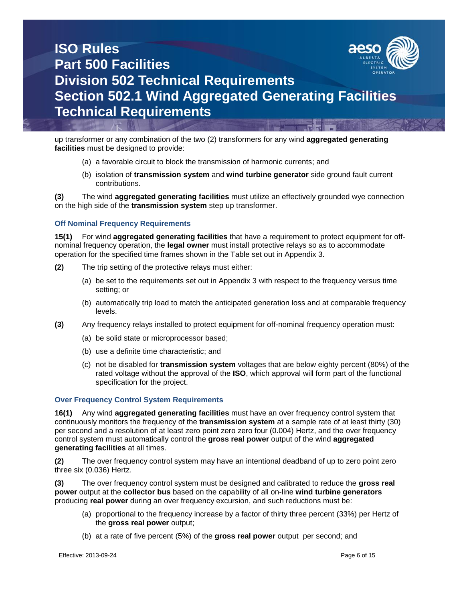

up transformer or any combination of the two (2) transformers for any wind **aggregated generating facilities** must be designed to provide:

- (a) a favorable circuit to block the transmission of harmonic currents; and
- (b) isolation of **transmission system** and **wind turbine generator** side ground fault current contributions.

**(3)** The wind **aggregated generating facilities** must utilize an effectively grounded wye connection on the high side of the **transmission system** step up transformer.

### **Off Nominal Frequency Requirements**

**15(1)** For wind **aggregated generating facilities** that have a requirement to protect equipment for offnominal frequency operation, the **legal owner** must install protective relays so as to accommodate operation for the specified time frames shown in the Table set out in Appendix 3.

- **(2)** The trip setting of the protective relays must either:
	- (a) be set to the requirements set out in Appendix 3 with respect to the frequency versus time setting; or
	- (b) automatically trip load to match the anticipated generation loss and at comparable frequency levels.
- **(3)** Any frequency relays installed to protect equipment for off-nominal frequency operation must:
	- (a) be solid state or microprocessor based;
	- (b) use a definite time characteristic; and
	- (c) not be disabled for **transmission system** voltages that are below eighty percent (80%) of the rated voltage without the approval of the **ISO**, which approval will form part of the functional specification for the project.

#### **Over Frequency Control System Requirements**

**16(1)** Any wind **aggregated generating facilities** must have an over frequency control system that continuously monitors the frequency of the **transmission system** at a sample rate of at least thirty (30) per second and a resolution of at least zero point zero zero four (0.004) Hertz, and the over frequency control system must automatically control the **gross real power** output of the wind **aggregated generating facilities** at all times.

**(2)** The over frequency control system may have an intentional deadband of up to zero point zero three six (0.036) Hertz.

**(3)** The over frequency control system must be designed and calibrated to reduce the **gross real power** output at the **collector bus** based on the capability of all on-line **wind turbine generators** producing **real power** during an over frequency excursion, and such reductions must be:

- (a) proportional to the frequency increase by a factor of thirty three percent (33%) per Hertz of the **gross real power** output;
- (b) at a rate of five percent (5%) of the **gross real power** output per second; and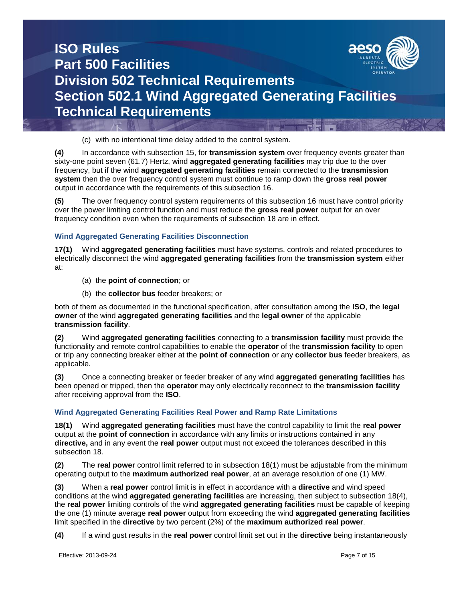

(c) with no intentional time delay added to the control system.

**(4)** In accordance with subsection 15, for **transmission system** over frequency events greater than sixty-one point seven (61.7) Hertz, wind **aggregated generating facilities** may trip due to the over frequency, but if the wind **aggregated generating facilities** remain connected to the **transmission system** then the over frequency control system must continue to ramp down the **gross real power** output in accordance with the requirements of this subsection 16.

**(5)** The over frequency control system requirements of this subsection 16 must have control priority over the power limiting control function and must reduce the **gross real power** output for an over frequency condition even when the requirements of subsection 18 are in effect.

### **Wind Aggregated Generating Facilities Disconnection**

**17(1)** Wind **aggregated generating facilities** must have systems, controls and related procedures to electrically disconnect the wind **aggregated generating facilities** from the **transmission system** either at:

- (a) the **point of connection**; or
- (b) the **collector bus** feeder breakers; or

both of them as documented in the functional specification, after consultation among the **ISO**, the **legal owner** of the wind **aggregated generating facilities** and the **legal owner** of the applicable **transmission facility**.

**(2)** Wind **aggregated generating facilities** connecting to a **transmission facility** must provide the functionality and remote control capabilities to enable the **operator** of the **transmission facility** to open or trip any connecting breaker either at the **point of connection** or any **collector bus** feeder breakers, as applicable.

**(3)** Once a connecting breaker or feeder breaker of any wind **aggregated generating facilities** has been opened or tripped, then the **operator** may only electrically reconnect to the **transmission facility** after receiving approval from the **ISO**.

### **Wind Aggregated Generating Facilities Real Power and Ramp Rate Limitations**

**18(1)** Wind **aggregated generating facilities** must have the control capability to limit the **real power** output at the **point of connection** in accordance with any limits or instructions contained in any **directive,** and in any event the **real power** output must not exceed the tolerances described in this subsection 18.

**(2)** The **real power** control limit referred to in subsection 18(1) must be adjustable from the minimum operating output to the **maximum authorized real power**, at an average resolution of one (1) MW.

**(3)** When a **real power** control limit is in effect in accordance with a **directive** and wind speed conditions at the wind **aggregated generating facilities** are increasing, then subject to subsection 18(4), the **real power** limiting controls of the wind **aggregated generating facilities** must be capable of keeping the one (1) minute average **real power** output from exceeding the wind **aggregated generating facilities** limit specified in the **directive** by two percent (2%) of the **maximum authorized real power**.

**(4)** If a wind gust results in the **real power** control limit set out in the **directive** being instantaneously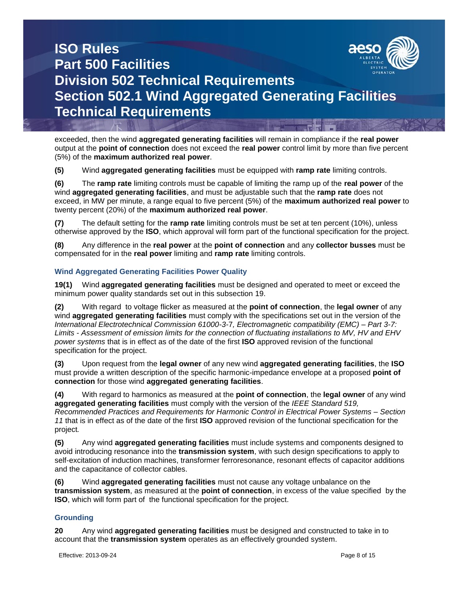

exceeded, then the wind **aggregated generating facilities** will remain in compliance if the **real power** output at the **point of connection** does not exceed the **real power** control limit by more than five percent (5%) of the **maximum authorized real power**.

**(5)** Wind **aggregated generating facilities** must be equipped with **ramp rate** limiting controls.

**(6)** The **ramp rate** limiting controls must be capable of limiting the ramp up of the **real power** of the wind **aggregated generating facilities**, and must be adjustable such that the **ramp rate** does not exceed, in MW per minute, a range equal to five percent (5%) of the **maximum authorized real power** to twenty percent (20%) of the **maximum authorized real power**.

**(7)** The default setting for the **ramp rate** limiting controls must be set at ten percent (10%), unless otherwise approved by the **ISO**, which approval will form part of the functional specification for the project.

**(8)** Any difference in the **real power** at the **point of connection** and any **collector busses** must be compensated for in the **real power** limiting and **ramp rate** limiting controls.

### **Wind Aggregated Generating Facilities Power Quality**

**19(1)** Wind **aggregated generating facilities** must be designed and operated to meet or exceed the minimum power quality standards set out in this subsection 19.

**(2)** With regard to voltage flicker as measured at the **point of connection**, the **legal owner** of any wind **aggregated generating facilities** must comply with the specifications set out in the version of the *International Electrotechnical Commission 61000-3-*7*, Electromagnetic compatibility (EMC) – Part 3-7: Limits - Assessment of emission limits for the connection of fluctuating installations to MV, HV and EHV power systems* that is in effect as of the date of the first **ISO** approved revision of the functional specification for the project.

**(3)** Upon request from the **legal owner** of any new wind **aggregated generating facilities**, the **ISO** must provide a written description of the specific harmonic-impedance envelope at a proposed **point of connection** for those wind **aggregated generating facilities**.

**(4)** With regard to harmonics as measured at the **point of connection**, the **legal owner** of any wind **aggregated generating facilities** must comply with the version of the *IEEE Standard 519, Recommended Practices and Requirements for Harmonic Control in Electrical Power Systems – Section 11* that is in effect as of the date of the first **ISO** approved revision of the functional specification for the project*.*

**(5)** Any wind **aggregated generating facilities** must include systems and components designed to avoid introducing resonance into the **transmission system**, with such design specifications to apply to self-excitation of induction machines, transformer ferroresonance, resonant effects of capacitor additions and the capacitance of collector cables.

**(6)** Wind **aggregated generating facilities** must not cause any voltage unbalance on the **transmission system**, as measured at the **point of connection**, in excess of the value specified by the **ISO**, which will form part of the functional specification for the project.

### **Grounding**

**20** Any wind **aggregated generating facilities** must be designed and constructed to take in to account that the **transmission system** operates as an effectively grounded system.

Effective: 2013-09-24 Page 8 of 15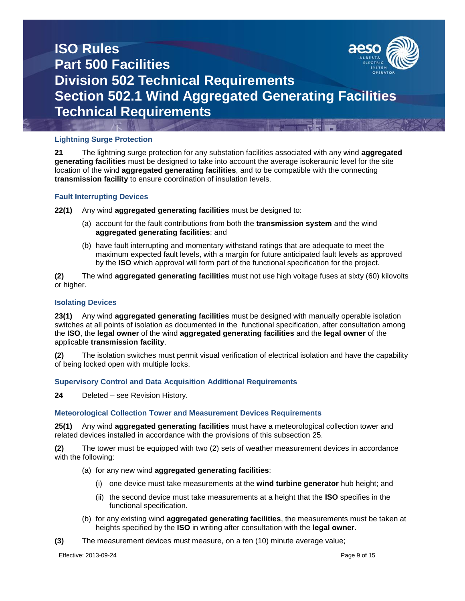

### **Lightning Surge Protection**

**21** The lightning surge protection for any substation facilities associated with any wind **aggregated generating facilities** must be designed to take into account the average isokeraunic level for the site location of the wind **aggregated generating facilities**, and to be compatible with the connecting **transmission facility** to ensure coordination of insulation levels.

### **Fault Interrupting Devices**

**22(1)** Any wind **aggregated generating facilities** must be designed to:

- (a) account for the fault contributions from both the **transmission system** and the wind **aggregated generating facilities**; and
- (b) have fault interrupting and momentary withstand ratings that are adequate to meet the maximum expected fault levels, with a margin for future anticipated fault levels as approved by the **ISO** which approval will form part of the functional specification for the project.

**(2)** The wind **aggregated generating facilities** must not use high voltage fuses at sixty (60) kilovolts or higher.

#### **Isolating Devices**

**23(1)** Any wind **aggregated generating facilities** must be designed with manually operable isolation switches at all points of isolation as documented in the functional specification, after consultation among the **ISO**, the **legal owner** of the wind **aggregated generating facilities** and the **legal owner** of the applicable **transmission facility**.

**(2)** The isolation switches must permit visual verification of electrical isolation and have the capability of being locked open with multiple locks.

### **Supervisory Control and Data Acquisition Additional Requirements**

**24** Deleted – see Revision History.

#### **Meteorological Collection Tower and Measurement Devices Requirements**

**25(1)** Any wind **aggregated generating facilities** must have a meteorological collection tower and related devices installed in accordance with the provisions of this subsection 25.

**(2)** The tower must be equipped with two (2) sets of weather measurement devices in accordance with the following:

- (a) for any new wind **aggregated generating facilities**:
	- (i) one device must take measurements at the **wind turbine generator** hub height; and
	- (ii) the second device must take measurements at a height that the **ISO** specifies in the functional specification.
- (b) for any existing wind **aggregated generating facilities**, the measurements must be taken at heights specified by the **ISO** in writing after consultation with the **legal owner**.
- **(3)** The measurement devices must measure, on a ten (10) minute average value;

Effective: 2013-09-24 Page 9 of 15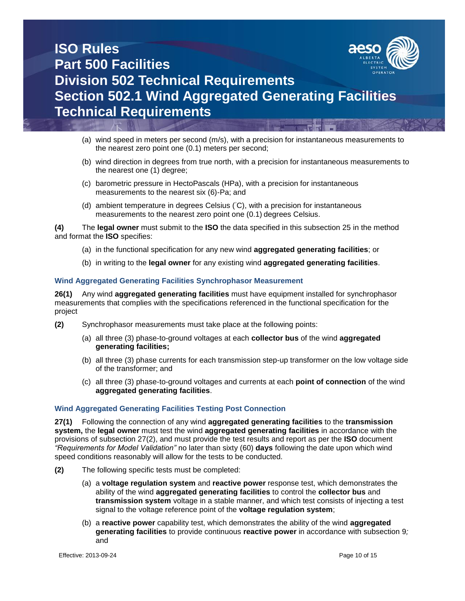

- (a) wind speed in meters per second (m/s), with a precision for instantaneous measurements to the nearest zero point one (0.1) meters per second;
- (b) wind direction in degrees from true north, with a precision for instantaneous measurements to the nearest one (1) degree;
- (c) barometric pressure in HectoPascals (HPa), with a precision for instantaneous measurements to the nearest six (6)-Pa; and
- (d) ambient temperature in degrees Celsius ( ◦C), with a precision for instantaneous measurements to the nearest zero point one (0.1) degrees Celsius.

**(4)** The **legal owner** must submit to the **ISO** the data specified in this subsection 25 in the method and format the **ISO** specifies:

- (a) in the functional specification for any new wind **aggregated generating facilities**; or
- (b) in writing to the **legal owner** for any existing wind **aggregated generating facilities**.

### **Wind Aggregated Generating Facilities Synchrophasor Measurement**

**26(1)** Any wind **aggregated generating facilities** must have equipment installed for synchrophasor measurements that complies with the specifications referenced in the functional specification for the project

- **(2)** Synchrophasor measurements must take place at the following points:
	- (a) all three (3) phase-to-ground voltages at each **collector bus** of the wind **aggregated generating facilities;**
	- (b) all three (3) phase currents for each transmission step-up transformer on the low voltage side of the transformer; and
	- (c) all three (3) phase-to-ground voltages and currents at each **point of connection** of the wind **aggregated generating facilities**.

#### **Wind Aggregated Generating Facilities Testing Post Connection**

**27(1)** Following the connection of any wind **aggregated generating facilities** to the **transmission system,** the **legal owner** must test the wind **aggregated generating facilities** in accordance with the provisions of subsection 27(2), and must provide the test results and report as per the **ISO** document *"Requirements for Model Validation"* no later than sixty (60) **days** following the date upon which wind speed conditions reasonably will allow for the tests to be conducted.

- **(2)** The following specific tests must be completed:
	- (a) a **voltage regulation system** and **reactive power** response test, which demonstrates the ability of the wind **aggregated generating facilities** to control the **collector bus** and **transmission system** voltage in a stable manner, and which test consists of injecting a test signal to the voltage reference point of the **voltage regulation system**;
	- (b) a **reactive power** capability test, which demonstrates the ability of the wind **aggregated generating facilities** to provide continuous **reactive power** in accordance with subsection 9*;* and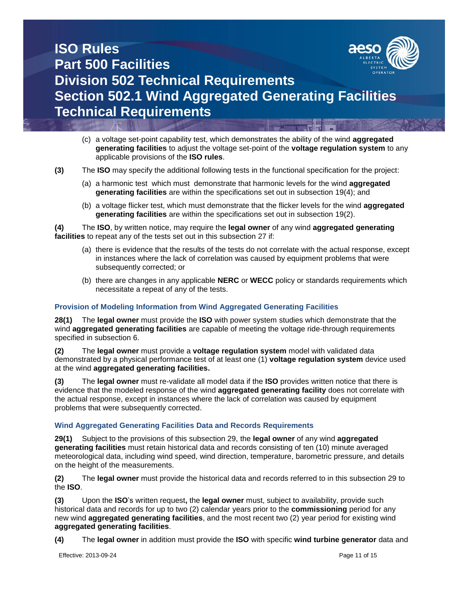

- (c) a voltage set-point capability test, which demonstrates the ability of the wind **aggregated generating facilities** to adjust the voltage set-point of the **voltage regulation system** to any applicable provisions of the **ISO rules**.
- **(3)** The **ISO** may specify the additional following tests in the functional specification for the project:
	- (a) a harmonic test which must demonstrate that harmonic levels for the wind **aggregated generating facilities** are within the specifications set out in subsection 19(4); and
	- (b) a voltage flicker test, which must demonstrate that the flicker levels for the wind **aggregated generating facilities** are within the specifications set out in subsection 19(2).

**(4)** The **ISO**, by written notice, may require the **legal owner** of any wind **aggregated generating facilities** to repeat any of the tests set out in this subsection 27 if:

- (a) there is evidence that the results of the tests do not correlate with the actual response, except in instances where the lack of correlation was caused by equipment problems that were subsequently corrected; or
- (b) there are changes in any applicable **NERC** or **WECC** policy or standards requirements which necessitate a repeat of any of the tests.

### **Provision of Modeling Information from Wind Aggregated Generating Facilities**

**28(1)** The **legal owner** must provide the **ISO** with power system studies which demonstrate that the wind **aggregated generating facilities** are capable of meeting the voltage ride-through requirements specified in subsection 6.

**(2)** The **legal owner** must provide a **voltage regulation system** model with validated data demonstrated by a physical performance test of at least one (1) **voltage regulation system** device used at the wind **aggregated generating facilities.**

**(3)** The **legal owner** must re-validate all model data if the **ISO** provides written notice that there is evidence that the modeled response of the wind **aggregated generating facility** does not correlate with the actual response, except in instances where the lack of correlation was caused by equipment problems that were subsequently corrected.

### **Wind Aggregated Generating Facilities Data and Records Requirements**

**29(1)** Subject to the provisions of this subsection 29, the **legal owner** of any wind **aggregated generating facilities** must retain historical data and records consisting of ten (10) minute averaged meteorological data, including wind speed, wind direction, temperature, barometric pressure, and details on the height of the measurements.

**(2)** The **legal owner** must provide the historical data and records referred to in this subsection 29 to the **ISO**.

**(3)** Upon the **ISO**'s written request**,** the **legal owner** must, subject to availability, provide such historical data and records for up to two (2) calendar years prior to the **commissioning** period for any new wind **aggregated generating facilities**, and the most recent two (2) year period for existing wind **aggregated generating facilities**.

**(4)** The **legal owner** in addition must provide the **ISO** with specific **wind turbine generator** data and

Effective: 2013-09-24 Page 11 of 15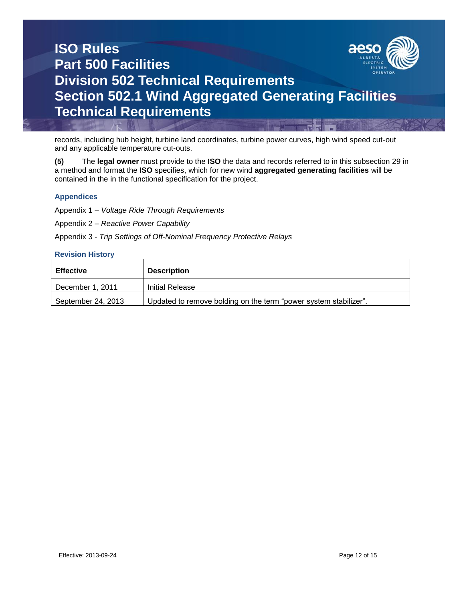

records, including hub height, turbine land coordinates, turbine power curves, high wind speed cut-out and any applicable temperature cut-outs.

**(5)** The **legal owner** must provide to the **ISO** the data and records referred to in this subsection 29 in a method and format the **ISO** specifies, which for new wind **aggregated generating facilities** will be contained in the in the functional specification for the project.

### **Appendices**

Appendix 1 – *Voltage Ride Through Requirements*

Appendix 2 – *Reactive Power Capability*

Appendix 3 - *Trip Settings of Off-Nominal Frequency Protective Relays*

### **Revision History**

| <b>Effective</b>   | <b>Description</b>                                               |
|--------------------|------------------------------------------------------------------|
| December 1, 2011   | <b>Initial Release</b>                                           |
| September 24, 2013 | Updated to remove bolding on the term "power system stabilizer". |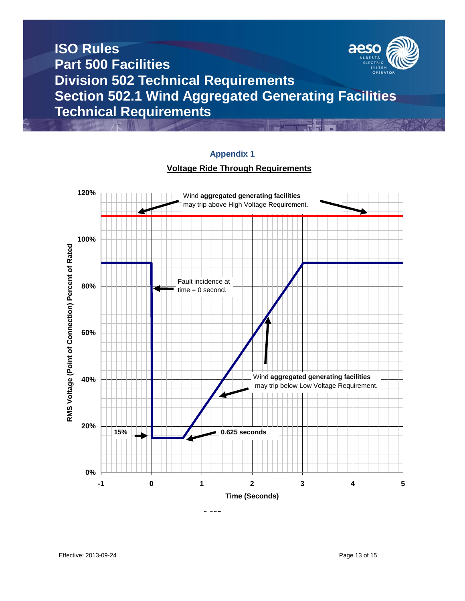

### **Appendix 1**

### **Voltage Ride Through Requirements**



 $0.625$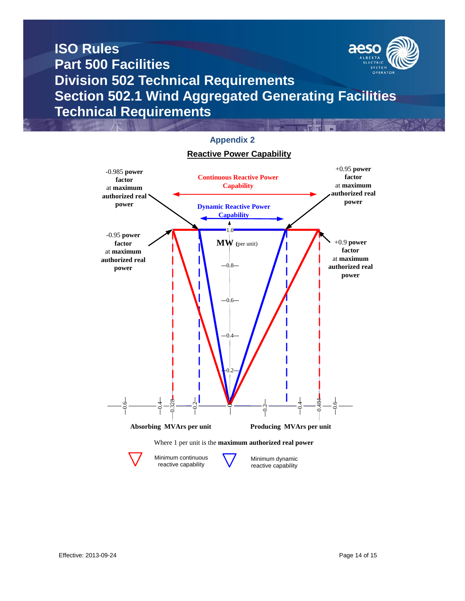